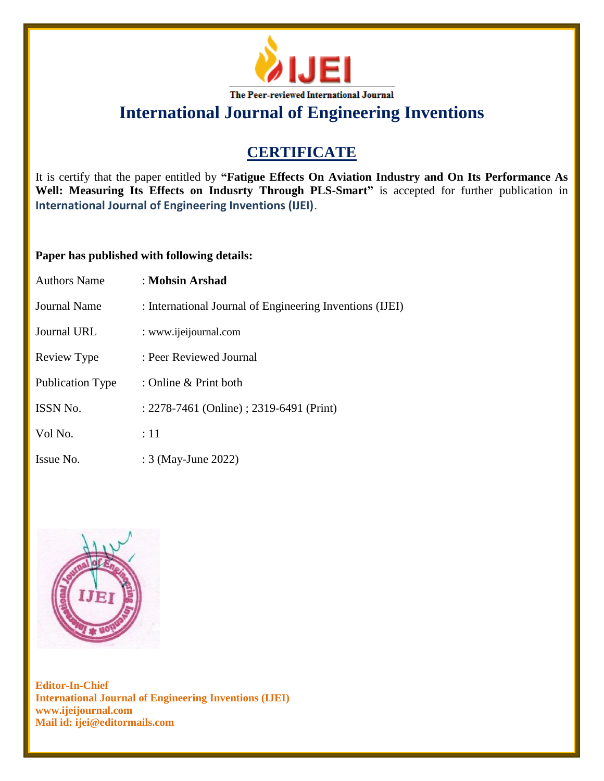

# **International Journal of Engineering Inventions**

### **CERTIFICATE**

It is certify that the paper entitled by **"Fatigue Effects On Aviation Industry and On Its Performance As Well: Measuring Its Effects on Indusrty Through PLS-Smart"** is accepted for further publication in **International Journal of Engineering Inventions (IJEI)**.

#### **Paper has published with following details:**

| <b>Authors Name</b> | : Mohsin Arshad                                          |
|---------------------|----------------------------------------------------------|
| Journal Name        | : International Journal of Engineering Inventions (IJEI) |
| Journal URL         | : www.ijeijournal.com                                    |
| Review Type         | : Peer Reviewed Journal                                  |
| Publication Type    | : Online $&$ Print both                                  |
| <b>ISSN No.</b>     | : 2278-7461 (Online) ; 2319-6491 (Print)                 |
| Vol No.             | :11                                                      |
| Issue No.           | : 3 (May-June 2022)                                      |



**Editor-In-Chief International Journal of Engineering Inventions (IJEI) www.ijeijournal.com Mail id: ijei@editormails.com**